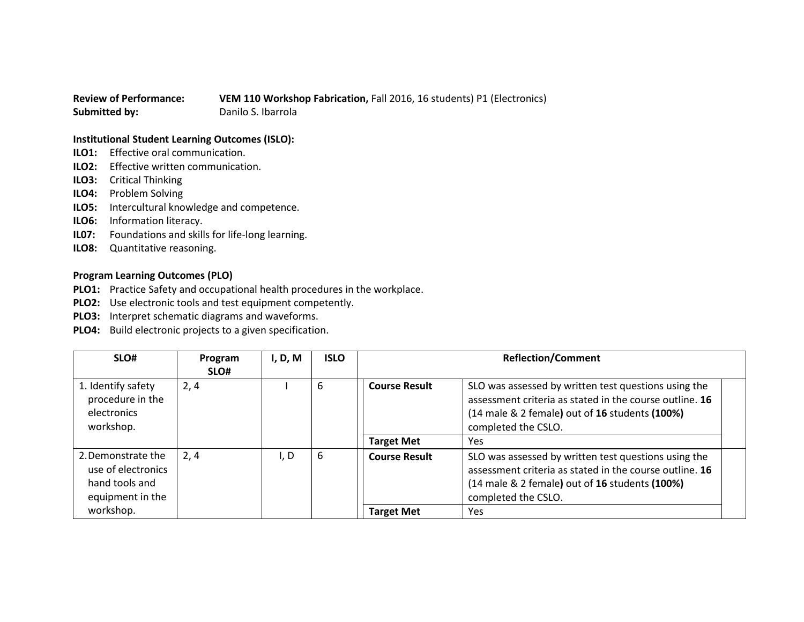## **Review of Performance: VEM 110 Workshop Fabrication,** Fall 2016, 16 students) P1 (Electronics) **Submitted by:** Danilo S. Ibarrola

## **Institutional Student Learning Outcomes (ISLO):**

- **ILO1:** Effective oral communication.
- **ILO2:** Effective written communication.
- **ILO3:** Critical Thinking
- **ILO4:** Problem Solving
- **ILO5:** Intercultural knowledge and competence.
- **ILO6:** Information literacy.
- **IL07:** Foundations and skills for life-long learning.
- **ILO8:** Quantitative reasoning.

## **Program Learning Outcomes (PLO)**

- **PLO1:** Practice Safety and occupational health procedures in the workplace.
- **PLO2:** Use electronic tools and test equipment competently.
- **PLO3:** Interpret schematic diagrams and waveforms.
- **PLO4:** Build electronic projects to a given specification.

| SLO#                                                                           | Program<br>SLO# | I, D, M | <b>ISLO</b> | <b>Reflection/Comment</b> |                                                                                                                                                                                          |
|--------------------------------------------------------------------------------|-----------------|---------|-------------|---------------------------|------------------------------------------------------------------------------------------------------------------------------------------------------------------------------------------|
| 1. Identify safety<br>procedure in the<br>electronics<br>workshop.             | 2, 4            |         | 6           | <b>Course Result</b>      | SLO was assessed by written test questions using the<br>assessment criteria as stated in the course outline. 16<br>(14 male & 2 female) out of 16 students (100%)<br>completed the CSLO. |
|                                                                                |                 |         |             | <b>Target Met</b>         | Yes                                                                                                                                                                                      |
| 2. Demonstrate the<br>use of electronics<br>hand tools and<br>equipment in the | 2, 4            | I, D    | 6           | <b>Course Result</b>      | SLO was assessed by written test questions using the<br>assessment criteria as stated in the course outline. 16<br>(14 male & 2 female) out of 16 students (100%)<br>completed the CSLO. |
| workshop.                                                                      |                 |         |             | <b>Target Met</b>         | Yes                                                                                                                                                                                      |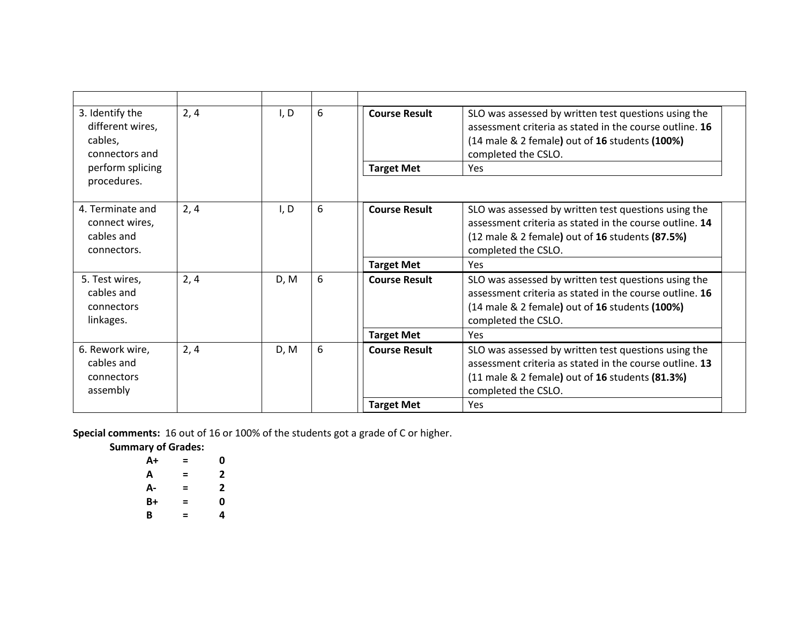| 3. Identify the<br>different wires,<br>cables,<br>connectors and | 2, 4 | I, D | 6 | <b>Course Result</b> | SLO was assessed by written test questions using the<br>assessment criteria as stated in the course outline. 16<br>(14 male & 2 female) out of 16 students (100%)<br>completed the CSLO.      |
|------------------------------------------------------------------|------|------|---|----------------------|-----------------------------------------------------------------------------------------------------------------------------------------------------------------------------------------------|
| perform splicing                                                 |      |      |   | <b>Target Met</b>    | Yes                                                                                                                                                                                           |
| procedures.                                                      |      |      |   |                      |                                                                                                                                                                                               |
| 4. Terminate and<br>connect wires,<br>cables and<br>connectors.  | 2, 4 | I, D | 6 | <b>Course Result</b> | SLO was assessed by written test questions using the<br>assessment criteria as stated in the course outline. 14<br>(12 male & 2 female) out of 16 students (87.5%)<br>completed the CSLO.     |
|                                                                  |      |      |   | <b>Target Met</b>    | Yes                                                                                                                                                                                           |
| 5. Test wires,<br>cables and<br>connectors<br>linkages.          | 2, 4 | D, M | 6 | <b>Course Result</b> | SLO was assessed by written test questions using the<br>assessment criteria as stated in the course outline. 16<br>(14 male & 2 female) out of 16 students (100%)<br>completed the CSLO.      |
|                                                                  |      |      |   | <b>Target Met</b>    | Yes                                                                                                                                                                                           |
| 6. Rework wire,<br>cables and<br>connectors<br>assembly          | 2, 4 | D, M | 6 | <b>Course Result</b> | SLO was assessed by written test questions using the<br>assessment criteria as stated in the course outline. 13<br>$(11$ male & 2 female) out of 16 students $(81.3%)$<br>completed the CSLO. |
|                                                                  |      |      |   | <b>Target Met</b>    | Yes                                                                                                                                                                                           |

**Special comments:** 16 out of 16 or 100% of the students got a grade of C or higher.

**Summary of Grades:**

| A+ | = | 0 |
|----|---|---|
| А  | = | 2 |
| А- | = | 2 |
| B+ | = | 0 |
| В  | = | 4 |